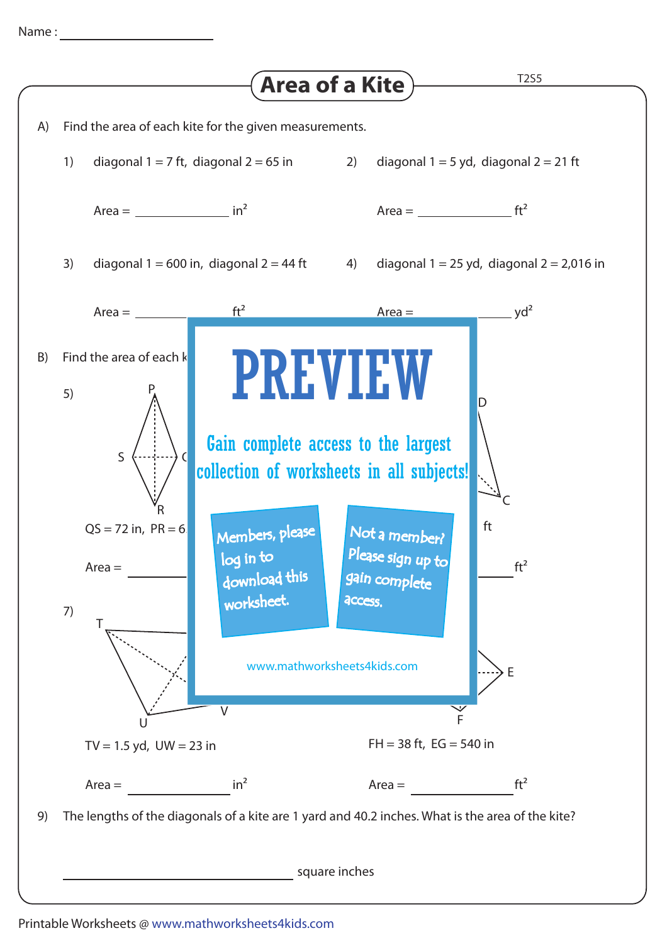